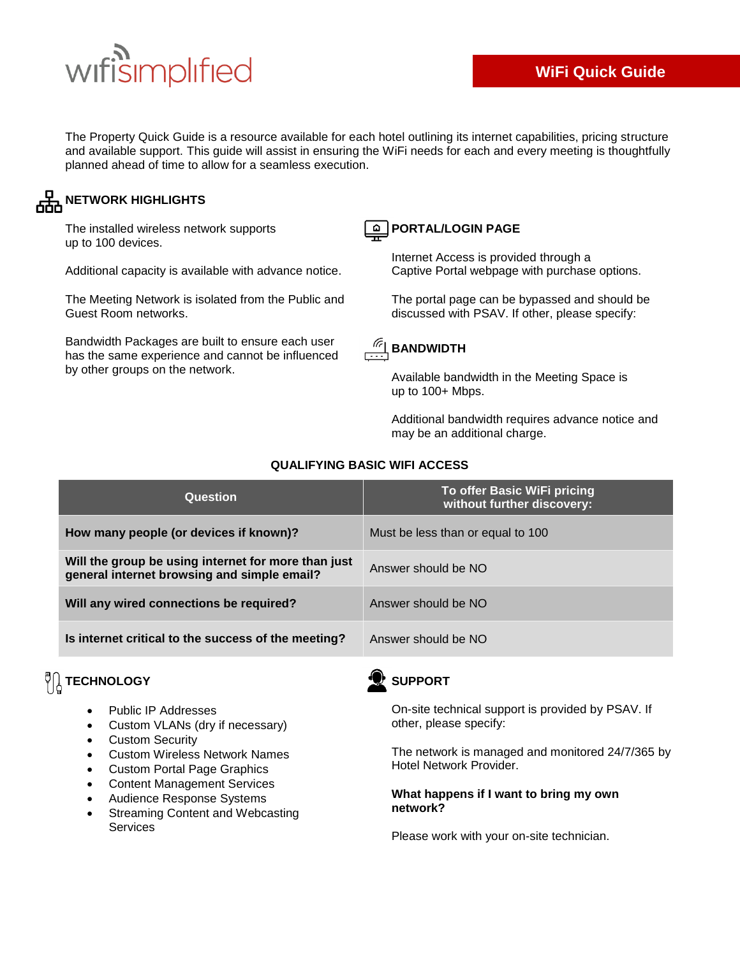# wifisimplified

The Property Quick Guide is a resource available for each hotel outlining its internet capabilities, pricing structure and available support. This guide will assist in ensuring the WiFi needs for each and every meeting is thoughtfully planned ahead of time to allow for a seamless execution.

### **NETWORK HIGHLIGHTS**

The installed wireless network supports up to 100 devices.

Additional capacity is available with advance notice.

The Meeting Network is isolated from the Public and Guest Room networks.

Bandwidth Packages are built to ensure each user has the same experience and cannot be influenced by other groups on the network.



#### **PORTAL/LOGIN PAGE**

Internet Access is provided through a Captive Portal webpage with purchase options.

The portal page can be bypassed and should be discussed with PSAV. If other, please specify:



up to 100+ Mbps.

Available bandwidth in the Meeting Space is

Additional bandwidth requires advance notice and may be an additional charge.

| Question                                                                                           | To offer Basic WiFi pricing<br>without further discovery: |
|----------------------------------------------------------------------------------------------------|-----------------------------------------------------------|
| How many people (or devices if known)?                                                             | Must be less than or equal to 100                         |
| Will the group be using internet for more than just<br>general internet browsing and simple email? | Answer should be NO                                       |
| Will any wired connections be required?                                                            | Answer should be NO                                       |
| Is internet critical to the success of the meeting?                                                | Answer should be NO                                       |

#### **QUALIFYING BASIC WIFI ACCESS**

## **VA** TECHNOLOGY

- Public IP Addresses
- Custom VLANs (dry if necessary)
- Custom Security
- Custom Wireless Network Names
- Custom Portal Page Graphics
- Content Management Services
- Audience Response Systems
- Streaming Content and Webcasting Services



On-site technical support is provided by PSAV. If other, please specify:

The network is managed and monitored 24/7/365 by Hotel Network Provider.

#### **What happens if I want to bring my own network?**

Please work with your on-site technician.